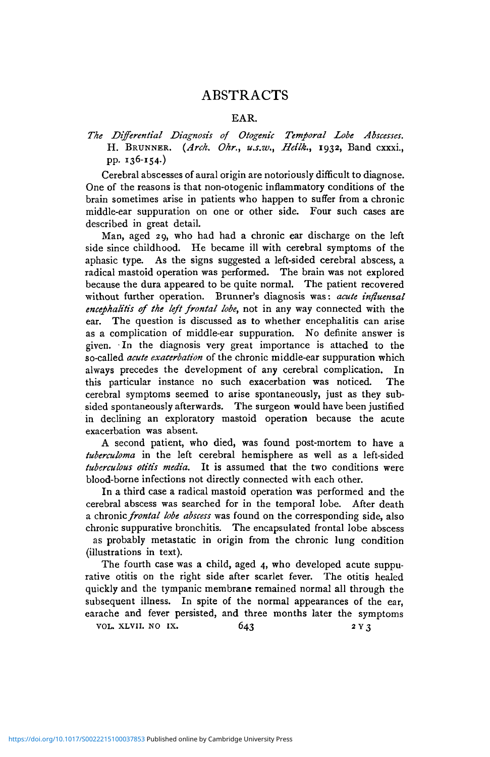## ABSTRACTS

### EAR.

### *The Differential Diagnosis of Otogenic Temporal Lobe Abscesses.* H. BRUNNER. *{Arch. Ohr., u.s.w., Heilk.,* 1932, Band cxxxi., pp. 136-154.)

Cerebral abscesses of aural origin are notoriously difficult to diagnose. One of the reasons is that non-otogenic inflammatory conditions of the brain sometimes arise in patients who happen to suffer from a chronic middle-ear suppuration on one or other side. Four such cases are described in great detail.

Man, aged 29, who had had a chronic ear discharge on the left side since childhood. He became ill with cerebral symptoms of the aphasic type. As the signs suggested a left-sided cerebral abscess, a radical mastoid operation was performed. The brain was not explored because the dura appeared to be quite normal. The patient recovered without further operation. Brunner's diagnosis was: *acute infiuemal encephalitis of the left frontal lobe,* not in any way connected with the ear. The question is discussed as to whether encephalitis can arise as a complication of middle-ear suppuration. No definite answer is given. In the diagnosis very great importance is attached to the so-called *acute exacerbation* of the chronic middle-ear suppuration which always precedes the development of any cerebral complication. In this particular instance no such exacerbation was noticed. The cerebral symptoms seemed to arise spontaneously, just as they subsided spontaneously afterwards. The surgeon would have been justified in declining an exploratory mastoid operation because the acute exacerbation was absent.

A second patient, who died, was found post-mortem to have a *tuberculoma* in the left cerebral hemisphere as well as a left-sided *tuberculous otitis media.* It is assumed that the two conditions were blood-borne infections not directly connected with each other.

In a third case a radical mastoid operation was performed and the cerebral abscess was searched for in the temporal lobe. After death a chronic *frontal lobe abscess* was found on the corresponding side, also chronic suppurative bronchitis. The encapsulated frontal lobe abscess as probably metastatic in origin from the chronic lung condition (illustrations in text).

The fourth case was a child, aged 4, who developed acute suppurative otitis on the right side after scarlet fever. The otitis healed quickly and the tympanic membrane remained normal all through the subsequent illness. In spite of the normal appearances of the ear, earache and fever persisted, and three months later the symptoms

VOL. XLVII. NO IX.  $643$  2 Y 3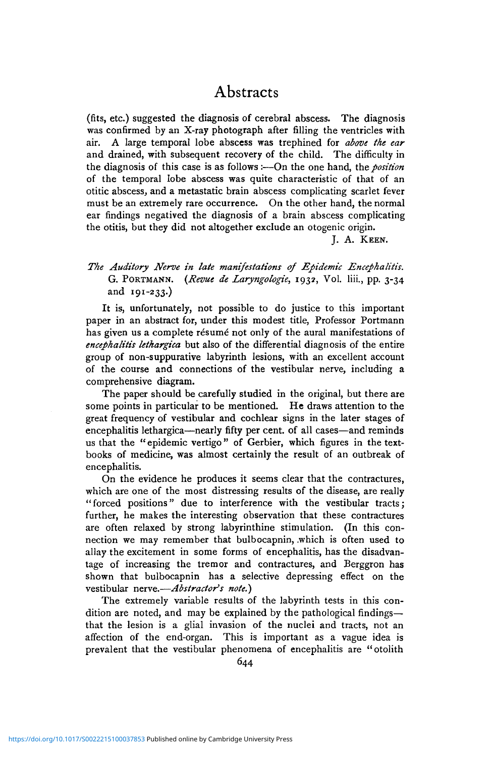## **Abstracts**

(fits, etc.) suggested the diagnosis of cerebral abscess. The diagnosis was confirmed by an X-ray photograph after filling the ventricles with air. A large temporal lobe abscess was trephined for *above the ear* and drained, with subsequent recovery of the child. The difficulty in the diagnosis of this case is as follows :—On the one hand, the *position* of the temporal lobe abscess was quite characteristic of that of an otitic abscess, and a metastatic brain abscess complicating scarlet fever must be an extremely rare occurrence. On the other hand, the normal ear findings negatived the diagnosis of a brain abscess complicating the otitis, but they did not altogether exclude an otogenic origin.

J. A. KEEN.

*The Auditory Nerve in late manifestations of Epidemic Encephalitis.* G. PORTMANN. *{Revue de Laryngologie,* 1932, Vol. liii., pp. 3-34 and 191-233.)

It is, unfortunately, not possible to do justice to this important paper in an abstract for, under this modest title, Professor Portmann has given us a complete résumé not only of the aural manifestations of *encephalitis lethargica* but also of the differential diagnosis of the entire group of non-suppurative labyrinth lesions, with an excellent account of the course and connections of the vestibular nerve, including a comprehensive diagram.

The paper should be carefully studied in the original, but there are some points in particular to be mentioned. He draws attention to the great frequency of vestibular and cochlear signs in the later stages of encephalitis lethargica—nearly fifty per cent, of all cases—and reminds us that the "epidemic vertigo" of Gerbier, which figures in the textbooks of medicine, was almost certainly the result of an outbreak of encephalitis.

On the evidence he produces it seems clear that the contractures, which are one of the most distressing results of the disease, are really "forced positions" due to interference with the vestibular tracts; further, he makes the interesting observation that these contractures are often relaxed by strong labyrinthine stimulation. (In this connection we may remember that bulbocapnin, .which is often used to allay the excitement in some forms of encephalitis, has the disadvantage of increasing the tremor and contractures, and Berggron has shown that bulbocapnin has a selective depressing effect on the vestibular nerve.—*Abstractor's note.)*

The extremely variable results of the labyrinth tests in this condition are noted, and may be explained by the pathological findings that the lesion is a glial invasion of the nuclei and tracts, not an affection of the end-organ. This is important as a vague idea is prevalent that the vestibular phenomena of encephalitis are "otolith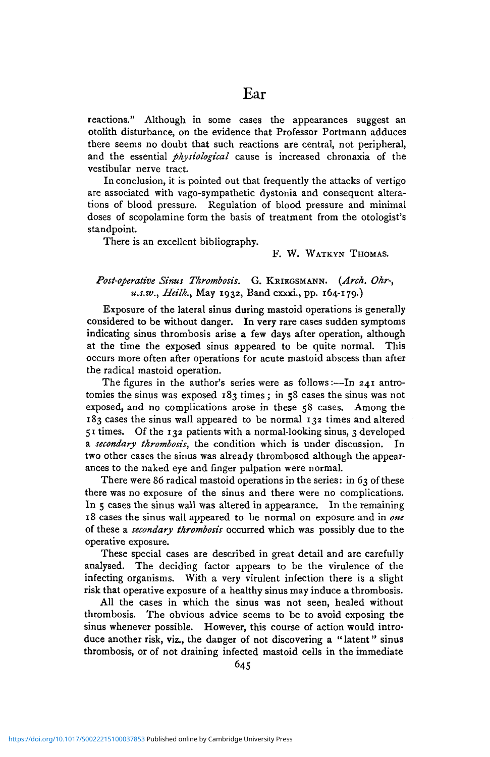reactions." Although in some cases the appearances suggest an otolith disturbance, on the evidence that Professor Portmann adduces there seems no doubt that such reactions are central, not peripheral, and the essential *physiological* cause is increased chronaxia of the vestibular nerve tract.

In conclusion, it is pointed out that frequently the attacks of vertigo are associated with vago-sympathetic dystonia and consequent alterations of blood pressure. Regulation of blood pressure and minimal doses of scopolamine form the basis of treatment from the otologist's standpoint.

There is an excellent bibliography.

#### F. W. WATKYN THOMAS.

### *Post-operative Sinus Thrombosis.* G. KRIEGSMANN. *{Arch. Ohr-, u.s.w., Heilk.,* May 1932, Band cxxxi., pp. 164-179.)

Exposure of the lateral sinus during mastoid operations is generally considered to be without danger. In very rare cases sudden symptoms indicating sinus thrombosis arise a few days after operation, although at the time the exposed sinus appeared to be quite normal. This occurs more often after operations for acute mastoid abscess than after the radical mastoid operation.

The figures in the author's series were as follows:—In 241 antrotomies the sinus was exposed 183 times; in 58 cases the sinus was not exposed, and no complications arose in these 58 cases. Among the 183 cases the sinus wall appeared to be normal 132 times and altered 51 times. Of the 132 patients with a normal-looking sinus, 3 developed a *secondary thrombosis,* the condition which is under discussion. In two other cases the sinus was already thrombosed although the appearances to the naked eye and finger palpation were normal.

There were 86 radical mastoid operations in the series: in 63 of these there was no exposure of the sinus and there were no complications. In 5 cases the sinus wall was altered in appearance. In the remaining 18 cases the sinus wall appeared to be normal on exposure and in *one* of these a *secondary thrombosis* occurred which was possibly due to the operative exposure.

These special cases are described in great detail and are carefully analysed. The deciding factor appears to be the virulence of the infecting organisms. With a very virulent infection there is a slight risk that operative exposure of a healthy sinus may induce a thrombosis.

All the cases in which the sinus was not seen, healed without thrombosis. The obvious advice seems to be to avoid exposing the sinus whenever possible. However, this course of action would introduce another risk, viz., the danger of not discovering a "latent" sinus thrombosis, or of not draining infected mastoid cells in the immediate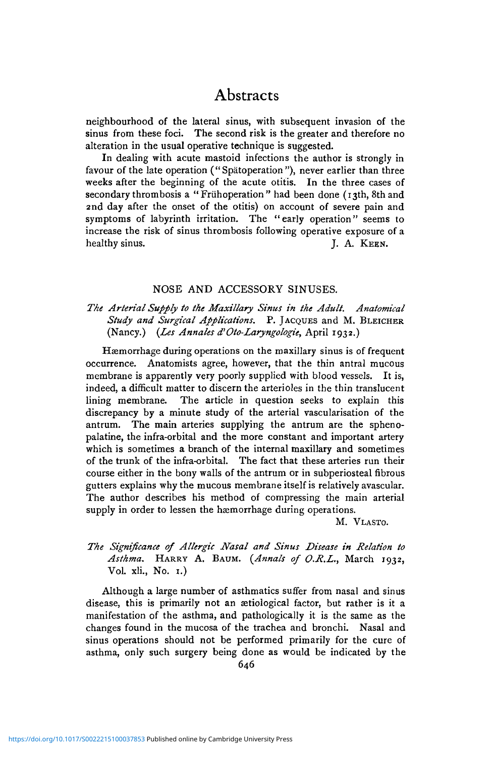## Abstracts

neighbourhood of the lateral sinus, with subsequent invasion of the sinus from these foci. The second risk is the greater and therefore no alteration in the usual operative technique is suggested.

In dealing with acute mastoid infections the author is strongly in favour of the late operation ("Spatoperation"), never earlier than three weeks after the beginning of the acute otitis. In the three cases of secondary thrombosis a "Frühoperation" had been done (13th, 8th and 2nd day after the onset of the otitis) on account of severe pain and symptoms of labyrinth irritation. The " early operation" seems to increase the risk of sinus thrombosis following operative exposure of a healthy sinus. J. A. KEEN.

### NOSE AND ACCESSORY SINUSES.

### *The Arterial Supply to the Maxillary Sinus in the Adult. Anatomical Study and Surgical Applications.* P. JACQUES and M. BLEICHER (Nancy.) *{Les Annales d'Oto-Laryngologie,* April 1932.)

Haemorrhage during operations on the maxillary sinus is of frequent occurrence. Anatomists agree, however, that the thin antral mucous membrane is apparently very poorly supplied with blood vessels. It is, indeed, a difficult matter to discern the arterioles in the thin translucent lining membrane. The article in question seeks to explain this discrepancy by a minute study of the arterial vascularisation of the antrum. The main arteries supplying the antrum are the sphenopalatine, the infra-orbital and the more constant and important artery which is sometimes a branch of the internal maxillary and sometimes of the trunk of the infra-orbital. The fact that these arteries run their course either in the bony walls of the antrum or in subperiosteal fibrous gutters explains why the mucous membrane itself is relatively avascular. The author describes his method of compressing the main arterial supply in order to lessen the hæmorrhage during operations.

M. VLASTO.

### *The Significance of Allergic Nasal and Sinus Disease in Relation to Asthma.* HARRY A. BAUM. *{Annals of O.R.L.,* March 1932, Vol. xli., No. 1.)

Although a large number of asthmatics suffer from nasal and sinus disease, this is primarily not an setiological factor, but rather is it a manifestation of the asthma, and pathologically it is the same as the changes found in the mucosa of the trachea and bronchi. Nasal and sinus operations should not be performed primarily for the cure of asthma, only such surgery being done as would be indicated by the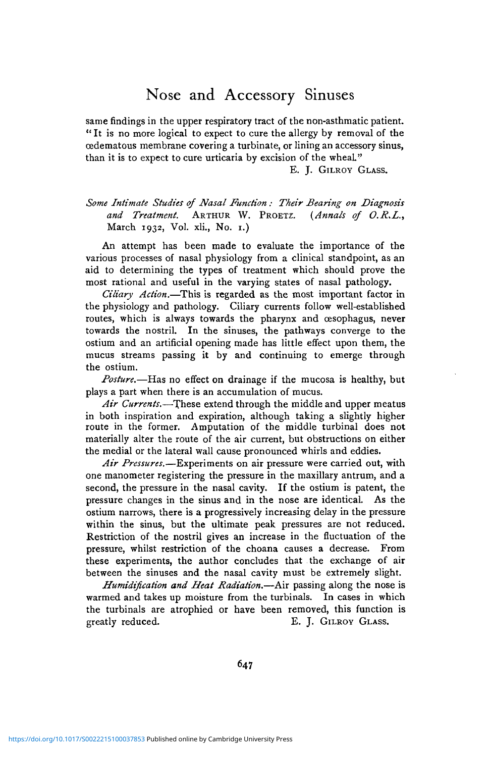# Nose and Accessory Sinuses

same findings in the upper respiratory tract of the non-asthmatic patient. " It is no more logical to expect to cure the allergy by removal of the oedematous membrane covering a turbinate, or lining an accessory sinus, than it is to expect to cure urticaria by excision of the wheaL"

E. J. GILROY GLASS.

### *Some Intimate Studies of Nasal Function : Their Bearing on Diagnosis and Treatment.* ARTHUR W. PROETZ. *{Annals of O.R.L.,* March 1932, Vol. xli., No. 1.)

An attempt has been made to evaluate the importance of the various processes of nasal physiology from a clinical standpoint, as an aid to determining the types of treatment which should prove the most rational and useful in the varying states of nasal pathology.

*Ciliary Action.*—This is regarded as the most important factor in the physiology and pathology. Ciliary currents follow well-established routes, which is always towards the pharynx and oesophagus, never towards the nostril. In the sinuses, the pathways converge to the ostium and an artificial opening made has little effect upon them, the mucus streams passing it by and continuing to emerge through the ostium.

*Posture.*—Has no effect on drainage if the mucosa is healthy, but plays a part when there is an accumulation of mucus.

Air Currents.—These extend through the middle and upper meatus in both inspiration and expiration, although taking a slightly higher route in the former. Amputation of the middle turbinal does not materially alter the route of the air current, but obstructions on either the medial or the lateral wall cause pronounced whirls and eddies.

*Air Pressures.*—Experiments on air pressure were carried out, with one manometer registering the pressure in the maxillary antrum, and a second, the pressure in the nasal cavity. If the ostium is patent, the pressure changes in the sinus and in the nose are identical. As the ostium narrows, there is a progressively increasing delay in the pressure within the sinus, but the ultimate peak pressures are not reduced. Restriction of the nostril gives an increase in the fluctuation of the pressure, whilst restriction of the choana causes a decrease. From these experiments, the author concludes that the exchange of air between the sinuses and the nasal cavity must be extremely slight.

*Humidification and Heat Radiation.*—Air passing along the nose is warmed and takes up moisture from the turbinals. In cases in which the turbinals are atrophied or have been removed, this function is greatly reduced. E. J. GILROY GLASS.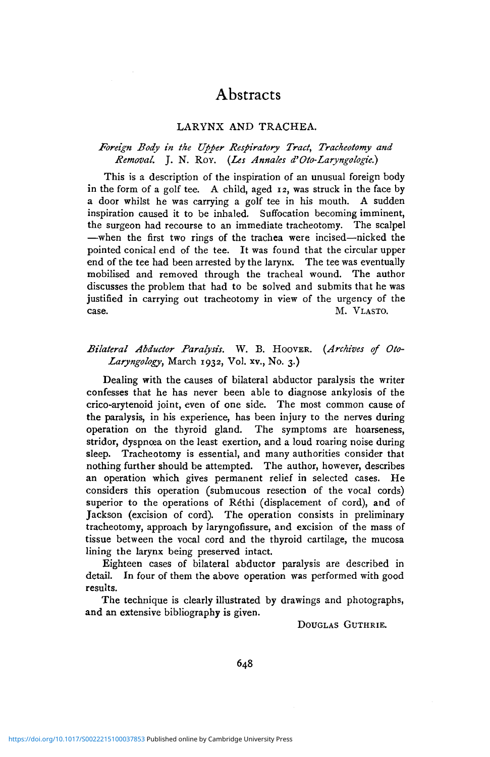# Abstracts

### LARYNX AND TRACHEA.

### *Foreign Body in the Upper Respiratory Tract, Tracheotomy and Removal.* J. N. ROY. *{Les Annales d'Oto-Laryngologie.)*

This is a description of the inspiration of an unusual foreign body in the form of a golf tee. A child, aged 12, was struck in the face by a door whilst he was carrying a golf tee in his mouth. A sudden inspiration caused it to be inhaled. Suffocation becoming imminent, the surgeon had recourse to an immediate tracheotomy. The scalpel —when the first two rings of the trachea were incised—nicked the pointed conical end of the tee. It was found that the circular upper end of the tee had been arrested by the larynx. The tee was eventually mobilised and removed through the tracheal wound. The author discusses the problem that had to be solved and submits that he was justified in carrying out tracheotomy in view of the urgency of the case. M. VLASTO.

### *Bilateral Abductor Paralysis.* W. B. HOOVER. *{Archives of Oto-Laryngology,* March 1932, Vol. xv., No. 3.)

Dealing with the causes of bilateral abductor paralysis the writer confesses that he has never been able to diagnose ankylosis of the crico-arytenoid joint, even of one side. The most common cause of the paralysis, in his experience, has been injury to the nerves during operation on the thyroid gland. The symptoms are hoarseness, stridor, dyspnoea on the least exertion, and a loud roaring noise during sleep. Tracheotomy is essential, and many authorities consider that nothing further should be attempted. The author, however, describes an operation which gives permanent relief in selected cases. He considers this operation (submucous resection of the vocal cords) superior to the operations of Réthi (displacement of cord), and of Jackson (excision of cord). The operation consists in preliminary tracheotomy, approach by laryngofissure, and excision of the mass of tissue between the vocal cord and the thyroid cartilage, the mucosa lining the larynx being preserved intact.

Eighteen cases of bilateral abductor paralysis are described in detail. In four of them the above operation was performed with good results.

The technique is clearly illustrated by drawings and photographs, and an extensive bibliography is given.

DOUGLAS GUTHRIE.